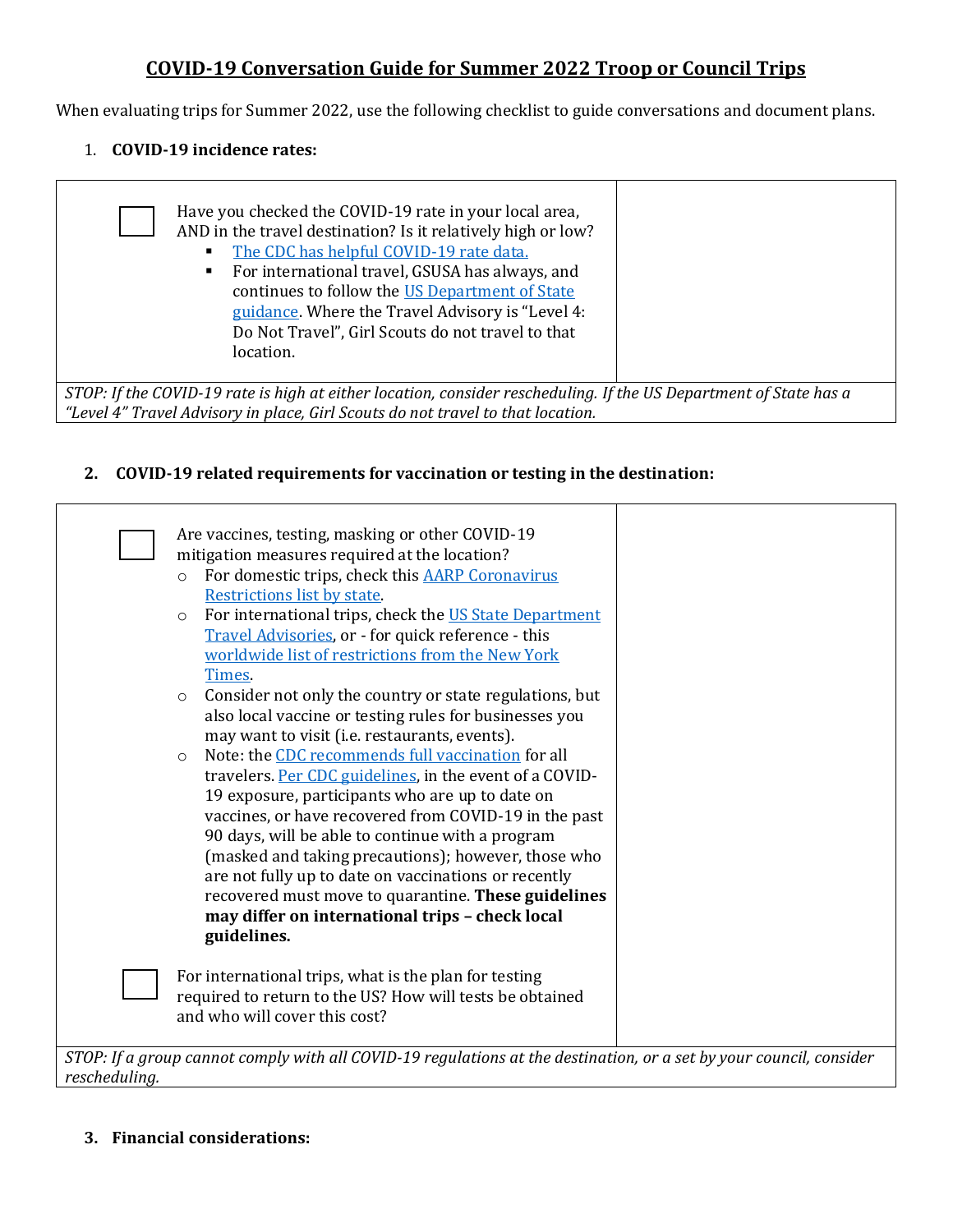## **COVID-19 Conversation Guide for Summer 2022 Troop or Council Trips**

When evaluating trips for Summer 2022, use the following checklist to guide conversations and document plans.

#### 1. **COVID-19 incidence rates:**

| Have you checked the COVID-19 rate in your local area,<br>AND in the travel destination? Is it relatively high or low?<br>The CDC has helpful COVID-19 rate data.<br>For international travel, GSUSA has always, and<br>$\blacksquare$<br>continues to follow the US Department of State<br>guidance. Where the Travel Advisory is "Level 4:<br>Do Not Travel", Girl Scouts do not travel to that<br>location. |  |  |  |
|----------------------------------------------------------------------------------------------------------------------------------------------------------------------------------------------------------------------------------------------------------------------------------------------------------------------------------------------------------------------------------------------------------------|--|--|--|
| STOP: If the COVID-19 rate is high at either location, consider rescheduling. If the US Department of State has a<br>"Level 4" Travel Advisory in place, Girl Scouts do not travel to that location.                                                                                                                                                                                                           |  |  |  |

### **2. COVID-19 related requirements for vaccination or testing in the destination:**

|                                                                                                                     | Are vaccines, testing, masking or other COVID-19                   |  |  |
|---------------------------------------------------------------------------------------------------------------------|--------------------------------------------------------------------|--|--|
|                                                                                                                     | mitigation measures required at the location?                      |  |  |
|                                                                                                                     | For domestic trips, check this AARP Coronavirus<br>$\circ$         |  |  |
|                                                                                                                     | Restrictions list by state.                                        |  |  |
|                                                                                                                     | For international trips, check the US State Department<br>$\circ$  |  |  |
|                                                                                                                     | Travel Advisories, or - for quick reference - this                 |  |  |
|                                                                                                                     | worldwide list of restrictions from the New York                   |  |  |
|                                                                                                                     | Times.                                                             |  |  |
|                                                                                                                     | Consider not only the country or state regulations, but<br>$\circ$ |  |  |
|                                                                                                                     | also local vaccine or testing rules for businesses you             |  |  |
|                                                                                                                     | may want to visit (i.e. restaurants, events).                      |  |  |
|                                                                                                                     | Note: the CDC recommends full vaccination for all<br>$\circ$       |  |  |
|                                                                                                                     | travelers. Per CDC guidelines, in the event of a COVID-            |  |  |
|                                                                                                                     | 19 exposure, participants who are up to date on                    |  |  |
|                                                                                                                     | vaccines, or have recovered from COVID-19 in the past              |  |  |
|                                                                                                                     | 90 days, will be able to continue with a program                   |  |  |
|                                                                                                                     | (masked and taking precautions); however, those who                |  |  |
|                                                                                                                     | are not fully up to date on vaccinations or recently               |  |  |
|                                                                                                                     | recovered must move to quarantine. These guidelines                |  |  |
|                                                                                                                     | may differ on international trips - check local                    |  |  |
|                                                                                                                     | guidelines.                                                        |  |  |
|                                                                                                                     |                                                                    |  |  |
|                                                                                                                     | For international trips, what is the plan for testing              |  |  |
|                                                                                                                     | required to return to the US? How will tests be obtained           |  |  |
|                                                                                                                     | and who will cover this cost?                                      |  |  |
|                                                                                                                     |                                                                    |  |  |
| STOP: If a group cannot comply with all COVID-19 regulations at the destination, or a set by your council, consider |                                                                    |  |  |
| rescheduling.                                                                                                       |                                                                    |  |  |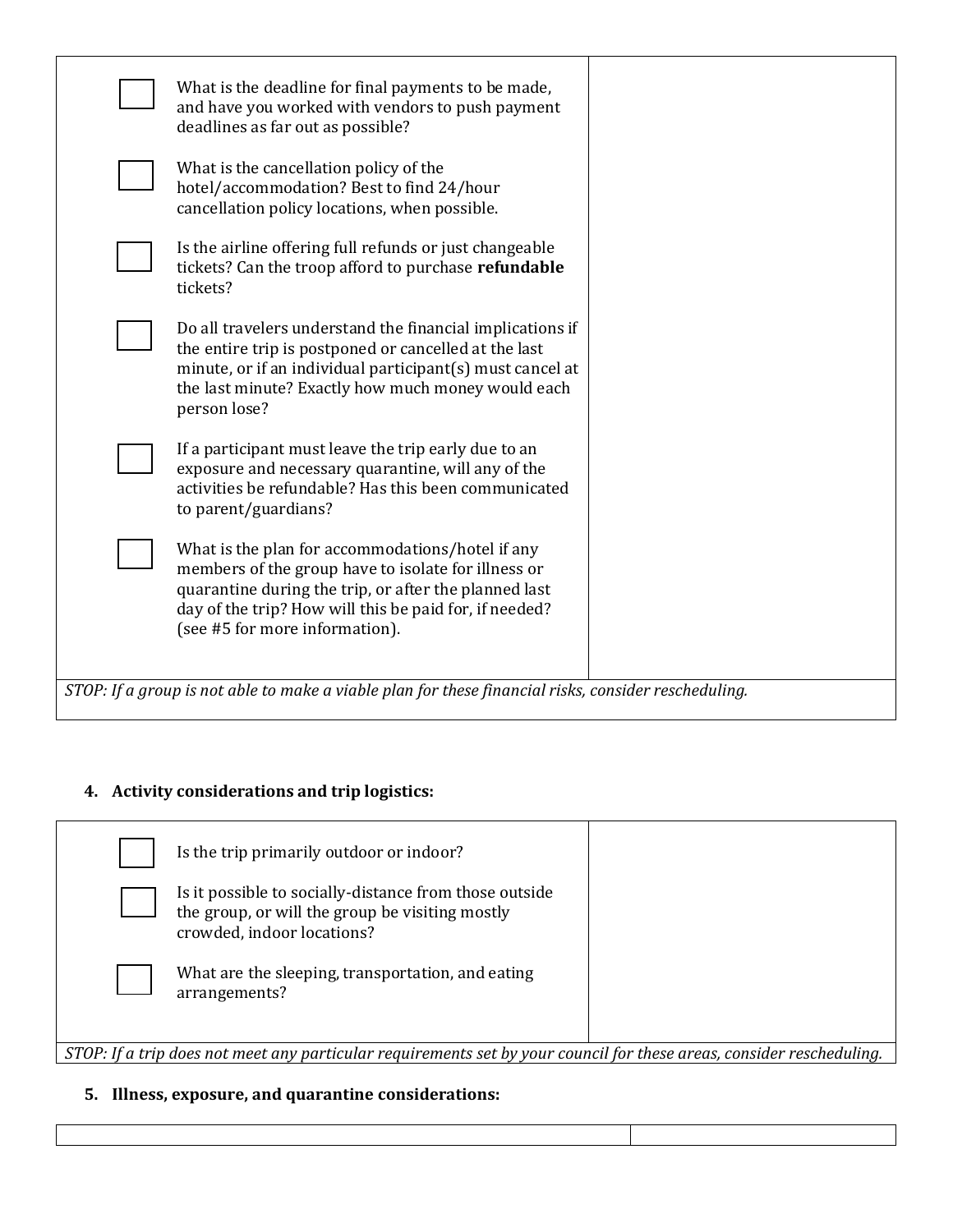|                                                                                                      | What is the deadline for final payments to be made,<br>and have you worked with vendors to push payment<br>deadlines as far out as possible?                                                                                                                 |  |  |  |
|------------------------------------------------------------------------------------------------------|--------------------------------------------------------------------------------------------------------------------------------------------------------------------------------------------------------------------------------------------------------------|--|--|--|
|                                                                                                      | What is the cancellation policy of the<br>hotel/accommodation? Best to find 24/hour<br>cancellation policy locations, when possible.                                                                                                                         |  |  |  |
|                                                                                                      | Is the airline offering full refunds or just changeable<br>tickets? Can the troop afford to purchase refundable<br>tickets?                                                                                                                                  |  |  |  |
|                                                                                                      | Do all travelers understand the financial implications if<br>the entire trip is postponed or cancelled at the last<br>minute, or if an individual participant(s) must cancel at<br>the last minute? Exactly how much money would each<br>person lose?        |  |  |  |
|                                                                                                      | If a participant must leave the trip early due to an<br>exposure and necessary quarantine, will any of the<br>activities be refundable? Has this been communicated<br>to parent/guardians?                                                                   |  |  |  |
|                                                                                                      | What is the plan for accommodations/hotel if any<br>members of the group have to isolate for illness or<br>quarantine during the trip, or after the planned last<br>day of the trip? How will this be paid for, if needed?<br>(see #5 for more information). |  |  |  |
| STOP: If a group is not able to make a viable plan for these financial risks, consider rescheduling. |                                                                                                                                                                                                                                                              |  |  |  |

# **4. Activity considerations and trip logistics:**

|                                                                                                                       | Is the trip primarily outdoor or indoor?                                                                                                |  |  |  |
|-----------------------------------------------------------------------------------------------------------------------|-----------------------------------------------------------------------------------------------------------------------------------------|--|--|--|
|                                                                                                                       | Is it possible to socially-distance from those outside<br>the group, or will the group be visiting mostly<br>crowded, indoor locations? |  |  |  |
|                                                                                                                       | What are the sleeping, transportation, and eating<br>arrangements?                                                                      |  |  |  |
| STOP: If a trip does not meet any particular requirements set by your council for these areas, consider rescheduling. |                                                                                                                                         |  |  |  |

## **5. Illness, exposure, and quarantine considerations:**